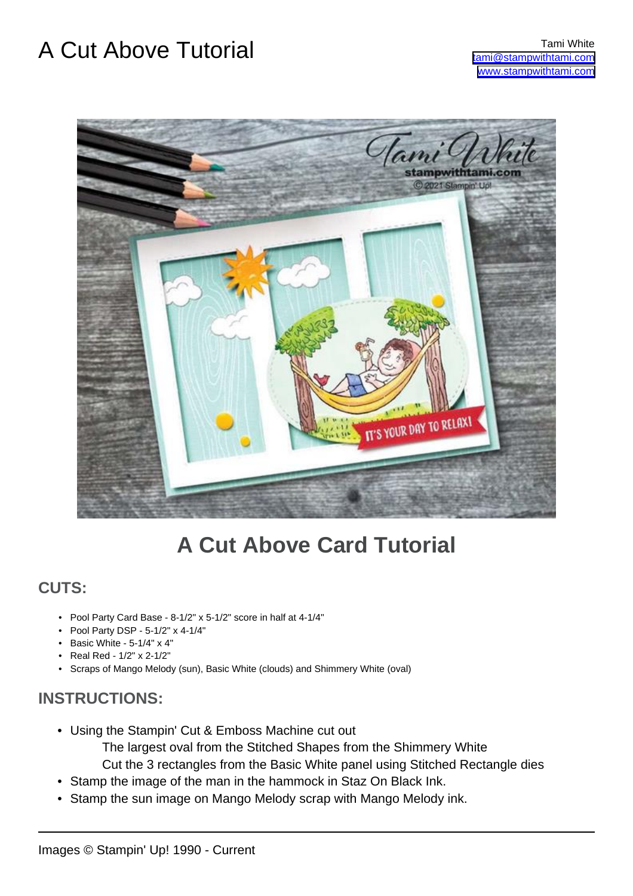### A Cut Above Tutorial Tami White



### **A Cut Above Card Tutorial**

#### **CUTS:**

- Pool Party Card Base 8-1/2" x 5-1/2" score in half at 4-1/4"
- Pool Party DSP 5-1/2" x 4-1/4"
- Basic White 5-1/4" x 4"
- Real Red 1/2" x 2-1/2"
- Scraps of Mango Melody (sun), Basic White (clouds) and Shimmery White (oval)

### **INSTRUCTIONS:**

- Using the Stampin' Cut & Emboss Machine cut out
	- The largest oval from the Stitched Shapes from the Shimmery White
	- Cut the 3 rectangles from the Basic White panel using Stitched Rectangle dies
- Stamp the image of the man in the hammock in Staz On Black Ink.
- Stamp the sun image on Mango Melody scrap with Mango Melody ink.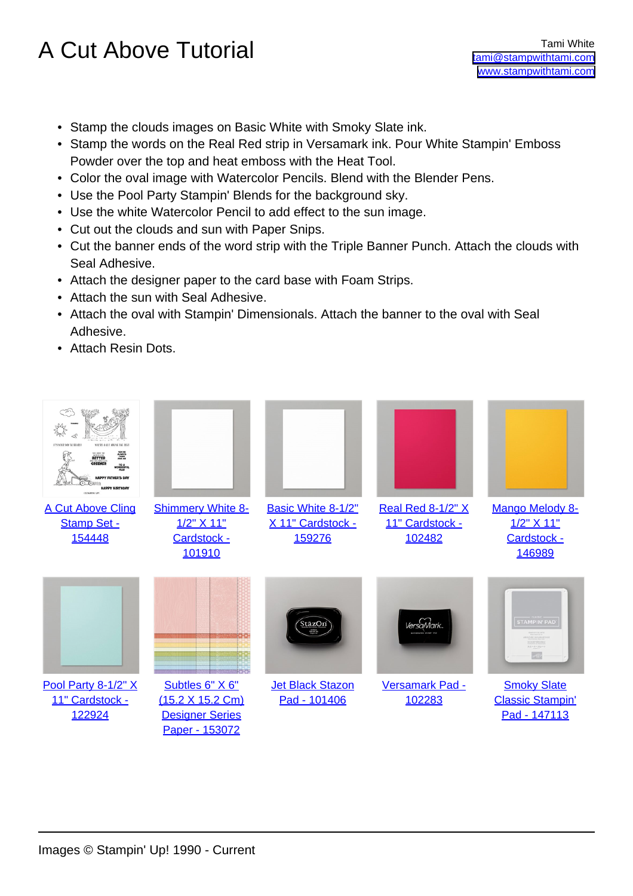## A Cut Above Tutorial Tami White

- Stamp the clouds images on Basic White with Smoky Slate ink.
- Stamp the words on the Real Red strip in Versamark ink. Pour White Stampin' Emboss Powder over the top and heat emboss with the Heat Tool.
- Color the oval image with Watercolor Pencils. Blend with the Blender Pens.
- Use the Pool Party Stampin' Blends for the background sky.
- Use the white Watercolor Pencil to add effect to the sun image.
- Cut out the clouds and sun with Paper Snips.
- Cut the banner ends of the word strip with the Triple Banner Punch. Attach the clouds with Seal Adhesive.
- Attach the designer paper to the card base with Foam Strips.
- Attach the sun with Seal Adhesive.
- Attach the oval with Stampin' Dimensionals. Attach the banner to the oval with Seal Adhesive.
- Attach Resin Dots.